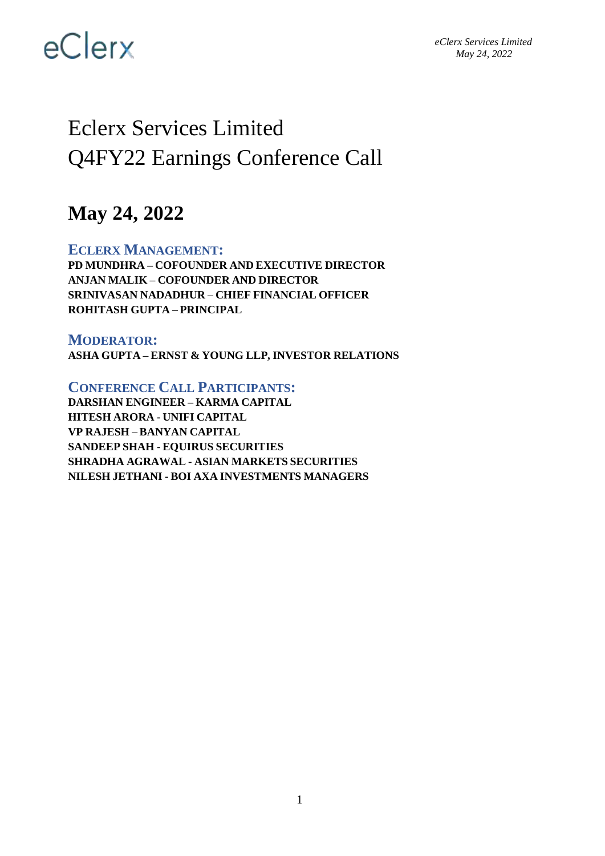*eClerx Services Limited May 24, 2022*

### Eclerx Services Limited Q4FY22 Earnings Conference Call

### **May 24, 2022**

#### **ECLERX MANAGEMENT:**

**PD MUNDHRA – COFOUNDER AND EXECUTIVE DIRECTOR ANJAN MALIK – COFOUNDER AND DIRECTOR SRINIVASAN NADADHUR – CHIEF FINANCIAL OFFICER ROHITASH GUPTA – PRINCIPAL**

#### **MODERATOR:**

**ASHA GUPTA – ERNST & YOUNG LLP, INVESTOR RELATIONS**

#### **CONFERENCE CALL PARTICIPANTS:**

**DARSHAN ENGINEER – KARMA CAPITAL HITESH ARORA - UNIFI CAPITAL VP RAJESH – BANYAN CAPITAL SANDEEP SHAH - EQUIRUS SECURITIES SHRADHA AGRAWAL - ASIAN MARKETS SECURITIES NILESH JETHANI - BOI AXA INVESTMENTS MANAGERS**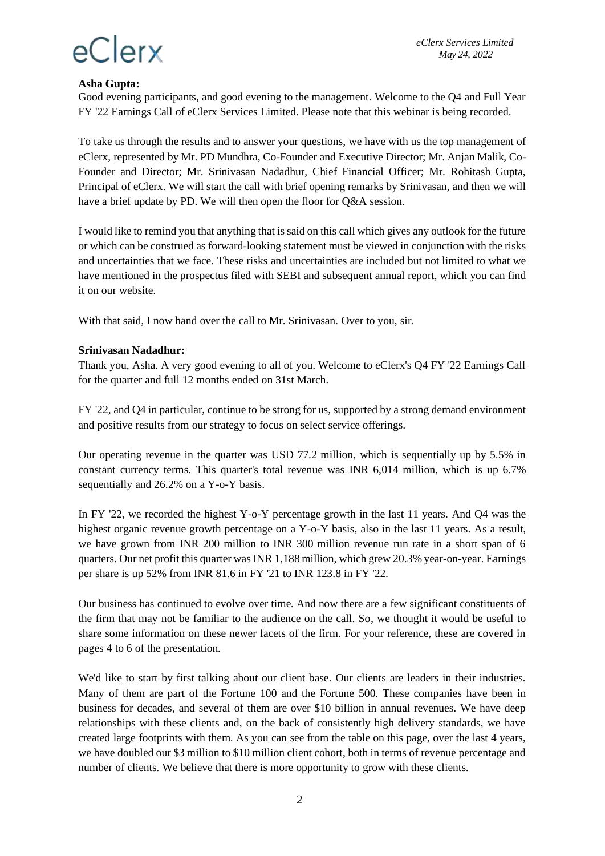#### **Asha Gupta:**

Good evening participants, and good evening to the management. Welcome to the Q4 and Full Year FY '22 Earnings Call of eClerx Services Limited. Please note that this webinar is being recorded.

To take us through the results and to answer your questions, we have with us the top management of eClerx, represented by Mr. PD Mundhra, Co-Founder and Executive Director; Mr. Anjan Malik, Co-Founder and Director; Mr. Srinivasan Nadadhur, Chief Financial Officer; Mr. Rohitash Gupta, Principal of eClerx. We will start the call with brief opening remarks by Srinivasan, and then we will have a brief update by PD. We will then open the floor for Q&A session.

I would like to remind you that anything that is said on this call which gives any outlook for the future or which can be construed as forward-looking statement must be viewed in conjunction with the risks and uncertainties that we face. These risks and uncertainties are included but not limited to what we have mentioned in the prospectus filed with SEBI and subsequent annual report, which you can find it on our website.

With that said, I now hand over the call to Mr. Srinivasan. Over to you, sir.

#### **Srinivasan Nadadhur:**

Thank you, Asha. A very good evening to all of you. Welcome to eClerx's Q4 FY '22 Earnings Call for the quarter and full 12 months ended on 31st March.

FY '22, and Q4 in particular, continue to be strong for us, supported by a strong demand environment and positive results from our strategy to focus on select service offerings.

Our operating revenue in the quarter was USD 77.2 million, which is sequentially up by 5.5% in constant currency terms. This quarter's total revenue was INR 6,014 million, which is up 6.7% sequentially and 26.2% on a Y-o-Y basis.

In FY '22, we recorded the highest Y-o-Y percentage growth in the last 11 years. And Q4 was the highest organic revenue growth percentage on a Y-o-Y basis, also in the last 11 years. As a result, we have grown from INR 200 million to INR 300 million revenue run rate in a short span of 6 quarters. Our net profit this quarter was INR 1,188 million, which grew 20.3% year-on-year. Earnings per share is up 52% from INR 81.6 in FY '21 to INR 123.8 in FY '22.

Our business has continued to evolve over time. And now there are a few significant constituents of the firm that may not be familiar to the audience on the call. So, we thought it would be useful to share some information on these newer facets of the firm. For your reference, these are covered in pages 4 to 6 of the presentation.

We'd like to start by first talking about our client base. Our clients are leaders in their industries. Many of them are part of the Fortune 100 and the Fortune 500. These companies have been in business for decades, and several of them are over \$10 billion in annual revenues. We have deep relationships with these clients and, on the back of consistently high delivery standards, we have created large footprints with them. As you can see from the table on this page, over the last 4 years, we have doubled our \$3 million to \$10 million client cohort, both in terms of revenue percentage and number of clients. We believe that there is more opportunity to grow with these clients.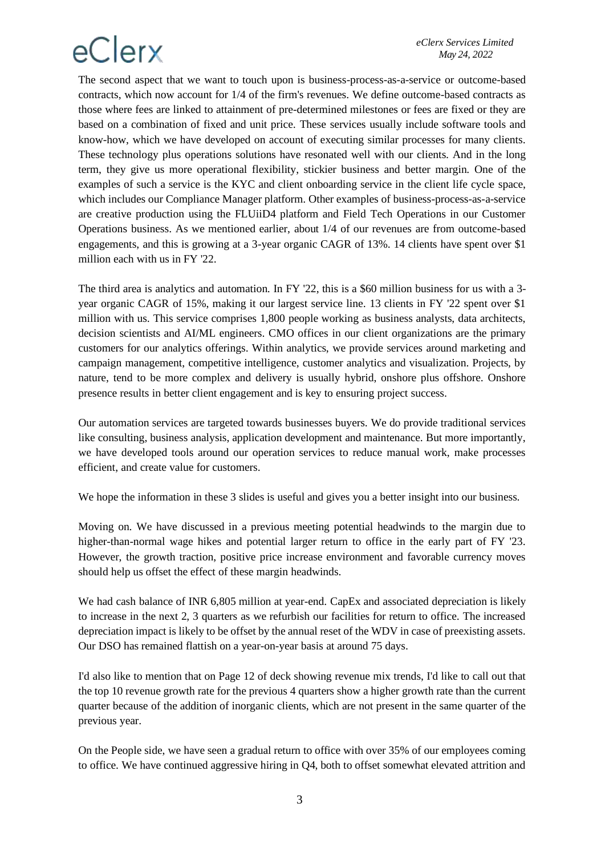The second aspect that we want to touch upon is business-process-as-a-service or outcome-based contracts, which now account for 1/4 of the firm's revenues. We define outcome-based contracts as those where fees are linked to attainment of pre-determined milestones or fees are fixed or they are based on a combination of fixed and unit price. These services usually include software tools and know-how, which we have developed on account of executing similar processes for many clients. These technology plus operations solutions have resonated well with our clients. And in the long term, they give us more operational flexibility, stickier business and better margin. One of the examples of such a service is the KYC and client onboarding service in the client life cycle space, which includes our Compliance Manager platform. Other examples of business-process-as-a-service are creative production using the FLUiiD4 platform and Field Tech Operations in our Customer Operations business. As we mentioned earlier, about 1/4 of our revenues are from outcome-based engagements, and this is growing at a 3-year organic CAGR of 13%. 14 clients have spent over \$1 million each with us in FY '22.

The third area is analytics and automation. In FY '22, this is a \$60 million business for us with a 3 year organic CAGR of 15%, making it our largest service line. 13 clients in FY '22 spent over \$1 million with us. This service comprises 1,800 people working as business analysts, data architects, decision scientists and AI/ML engineers. CMO offices in our client organizations are the primary customers for our analytics offerings. Within analytics, we provide services around marketing and campaign management, competitive intelligence, customer analytics and visualization. Projects, by nature, tend to be more complex and delivery is usually hybrid, onshore plus offshore. Onshore presence results in better client engagement and is key to ensuring project success.

Our automation services are targeted towards businesses buyers. We do provide traditional services like consulting, business analysis, application development and maintenance. But more importantly, we have developed tools around our operation services to reduce manual work, make processes efficient, and create value for customers.

We hope the information in these 3 slides is useful and gives you a better insight into our business.

Moving on. We have discussed in a previous meeting potential headwinds to the margin due to higher-than-normal wage hikes and potential larger return to office in the early part of FY '23. However, the growth traction, positive price increase environment and favorable currency moves should help us offset the effect of these margin headwinds.

We had cash balance of INR 6,805 million at year-end. CapEx and associated depreciation is likely to increase in the next 2, 3 quarters as we refurbish our facilities for return to office. The increased depreciation impact is likely to be offset by the annual reset of the WDV in case of preexisting assets. Our DSO has remained flattish on a year-on-year basis at around 75 days.

I'd also like to mention that on Page 12 of deck showing revenue mix trends, I'd like to call out that the top 10 revenue growth rate for the previous 4 quarters show a higher growth rate than the current quarter because of the addition of inorganic clients, which are not present in the same quarter of the previous year.

On the People side, we have seen a gradual return to office with over 35% of our employees coming to office. We have continued aggressive hiring in Q4, both to offset somewhat elevated attrition and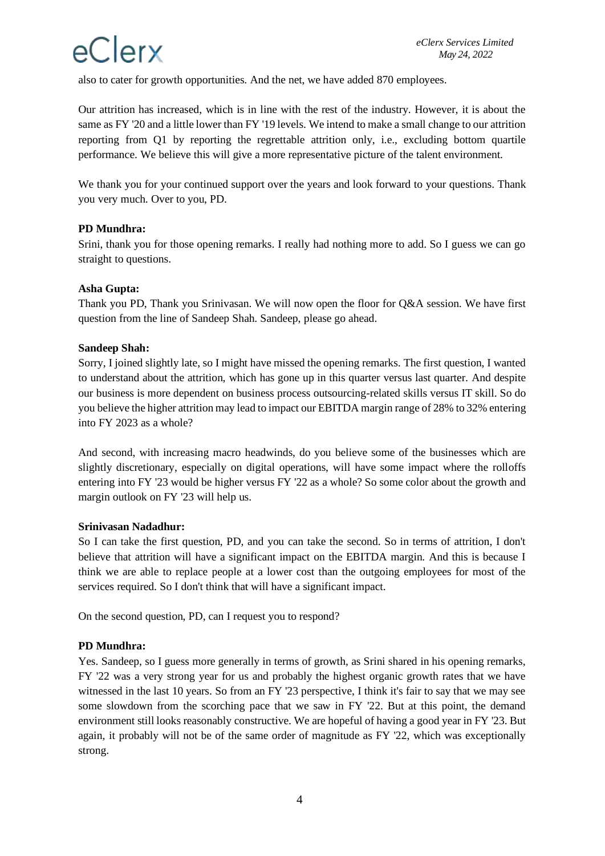also to cater for growth opportunities. And the net, we have added 870 employees.

Our attrition has increased, which is in line with the rest of the industry. However, it is about the same as FY '20 and a little lower than FY '19 levels. We intend to make a small change to our attrition reporting from Q1 by reporting the regrettable attrition only, i.e., excluding bottom quartile performance. We believe this will give a more representative picture of the talent environment.

We thank you for your continued support over the years and look forward to your questions. Thank you very much. Over to you, PD.

#### **PD Mundhra:**

Srini, thank you for those opening remarks. I really had nothing more to add. So I guess we can go straight to questions.

#### **Asha Gupta:**

Thank you PD, Thank you Srinivasan. We will now open the floor for Q&A session. We have first question from the line of Sandeep Shah. Sandeep, please go ahead.

#### **Sandeep Shah:**

Sorry, I joined slightly late, so I might have missed the opening remarks. The first question, I wanted to understand about the attrition, which has gone up in this quarter versus last quarter. And despite our business is more dependent on business process outsourcing-related skills versus IT skill. So do you believe the higher attrition may lead to impact our EBITDA margin range of 28% to 32% entering into FY 2023 as a whole?

And second, with increasing macro headwinds, do you believe some of the businesses which are slightly discretionary, especially on digital operations, will have some impact where the rolloffs entering into FY '23 would be higher versus FY '22 as a whole? So some color about the growth and margin outlook on FY '23 will help us.

#### **Srinivasan Nadadhur:**

So I can take the first question, PD, and you can take the second. So in terms of attrition, I don't believe that attrition will have a significant impact on the EBITDA margin. And this is because I think we are able to replace people at a lower cost than the outgoing employees for most of the services required. So I don't think that will have a significant impact.

On the second question, PD, can I request you to respond?

#### **PD Mundhra:**

Yes. Sandeep, so I guess more generally in terms of growth, as Srini shared in his opening remarks, FY '22 was a very strong year for us and probably the highest organic growth rates that we have witnessed in the last 10 years. So from an FY '23 perspective, I think it's fair to say that we may see some slowdown from the scorching pace that we saw in FY '22. But at this point, the demand environment still looks reasonably constructive. We are hopeful of having a good year in FY '23. But again, it probably will not be of the same order of magnitude as FY '22, which was exceptionally strong.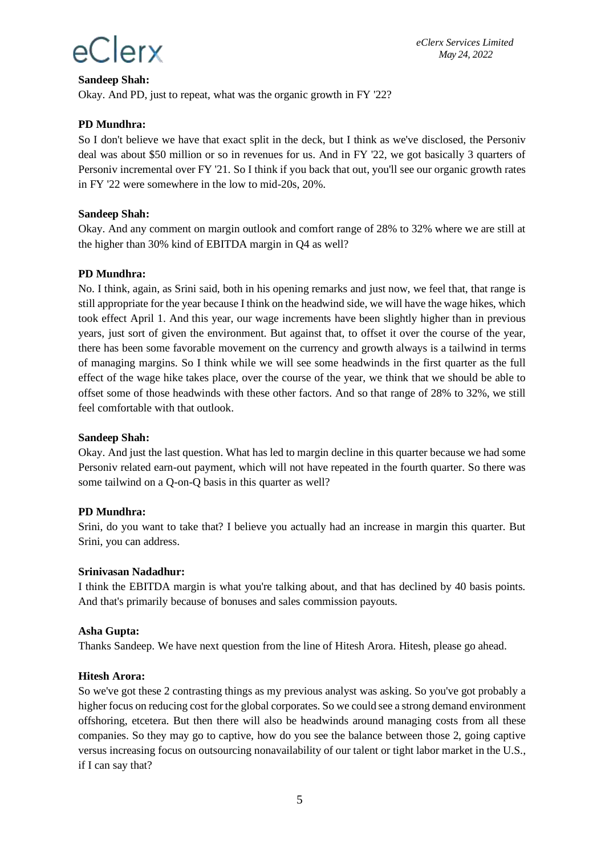#### **Sandeep Shah:**

Okay. And PD, just to repeat, what was the organic growth in FY '22?

#### **PD Mundhra:**

So I don't believe we have that exact split in the deck, but I think as we've disclosed, the Personiv deal was about \$50 million or so in revenues for us. And in FY '22, we got basically 3 quarters of Personiv incremental over FY '21. So I think if you back that out, you'll see our organic growth rates in FY '22 were somewhere in the low to mid-20s, 20%.

#### **Sandeep Shah:**

Okay. And any comment on margin outlook and comfort range of 28% to 32% where we are still at the higher than 30% kind of EBITDA margin in Q4 as well?

#### **PD Mundhra:**

No. I think, again, as Srini said, both in his opening remarks and just now, we feel that, that range is still appropriate for the year because I think on the headwind side, we will have the wage hikes, which took effect April 1. And this year, our wage increments have been slightly higher than in previous years, just sort of given the environment. But against that, to offset it over the course of the year, there has been some favorable movement on the currency and growth always is a tailwind in terms of managing margins. So I think while we will see some headwinds in the first quarter as the full effect of the wage hike takes place, over the course of the year, we think that we should be able to offset some of those headwinds with these other factors. And so that range of 28% to 32%, we still feel comfortable with that outlook.

#### **Sandeep Shah:**

Okay. And just the last question. What has led to margin decline in this quarter because we had some Personiv related earn-out payment, which will not have repeated in the fourth quarter. So there was some tailwind on a Q-on-Q basis in this quarter as well?

#### **PD Mundhra:**

Srini, do you want to take that? I believe you actually had an increase in margin this quarter. But Srini, you can address.

#### **Srinivasan Nadadhur:**

I think the EBITDA margin is what you're talking about, and that has declined by 40 basis points. And that's primarily because of bonuses and sales commission payouts.

#### **Asha Gupta:**

Thanks Sandeep. We have next question from the line of Hitesh Arora. Hitesh, please go ahead.

#### **Hitesh Arora:**

So we've got these 2 contrasting things as my previous analyst was asking. So you've got probably a higher focus on reducing cost for the global corporates. So we could see a strong demand environment offshoring, etcetera. But then there will also be headwinds around managing costs from all these companies. So they may go to captive, how do you see the balance between those 2, going captive versus increasing focus on outsourcing nonavailability of our talent or tight labor market in the U.S., if I can say that?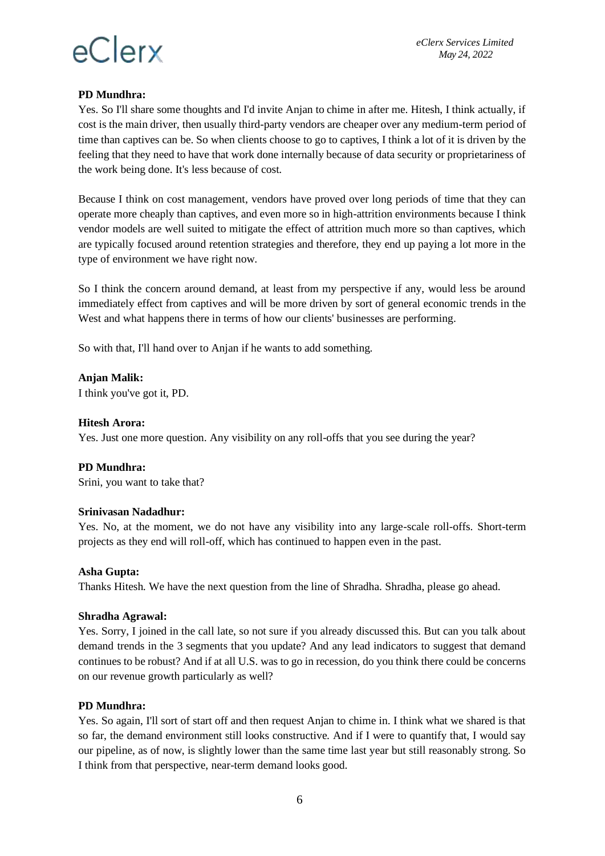#### **PD Mundhra:**

Yes. So I'll share some thoughts and I'd invite Anjan to chime in after me. Hitesh, I think actually, if cost is the main driver, then usually third-party vendors are cheaper over any medium-term period of time than captives can be. So when clients choose to go to captives, I think a lot of it is driven by the feeling that they need to have that work done internally because of data security or proprietariness of the work being done. It's less because of cost.

Because I think on cost management, vendors have proved over long periods of time that they can operate more cheaply than captives, and even more so in high-attrition environments because I think vendor models are well suited to mitigate the effect of attrition much more so than captives, which are typically focused around retention strategies and therefore, they end up paying a lot more in the type of environment we have right now.

So I think the concern around demand, at least from my perspective if any, would less be around immediately effect from captives and will be more driven by sort of general economic trends in the West and what happens there in terms of how our clients' businesses are performing.

So with that, I'll hand over to Anjan if he wants to add something.

**Anjan Malik:** I think you've got it, PD.

#### **Hitesh Arora:**

Yes. Just one more question. Any visibility on any roll-offs that you see during the year?

#### **PD Mundhra:**

Srini, you want to take that?

#### **Srinivasan Nadadhur:**

Yes. No, at the moment, we do not have any visibility into any large-scale roll-offs. Short-term projects as they end will roll-off, which has continued to happen even in the past.

#### **Asha Gupta:**

Thanks Hitesh. We have the next question from the line of Shradha. Shradha, please go ahead.

#### **Shradha Agrawal:**

Yes. Sorry, I joined in the call late, so not sure if you already discussed this. But can you talk about demand trends in the 3 segments that you update? And any lead indicators to suggest that demand continues to be robust? And if at all U.S. was to go in recession, do you think there could be concerns on our revenue growth particularly as well?

#### **PD Mundhra:**

Yes. So again, I'll sort of start off and then request Anjan to chime in. I think what we shared is that so far, the demand environment still looks constructive. And if I were to quantify that, I would say our pipeline, as of now, is slightly lower than the same time last year but still reasonably strong. So I think from that perspective, near-term demand looks good.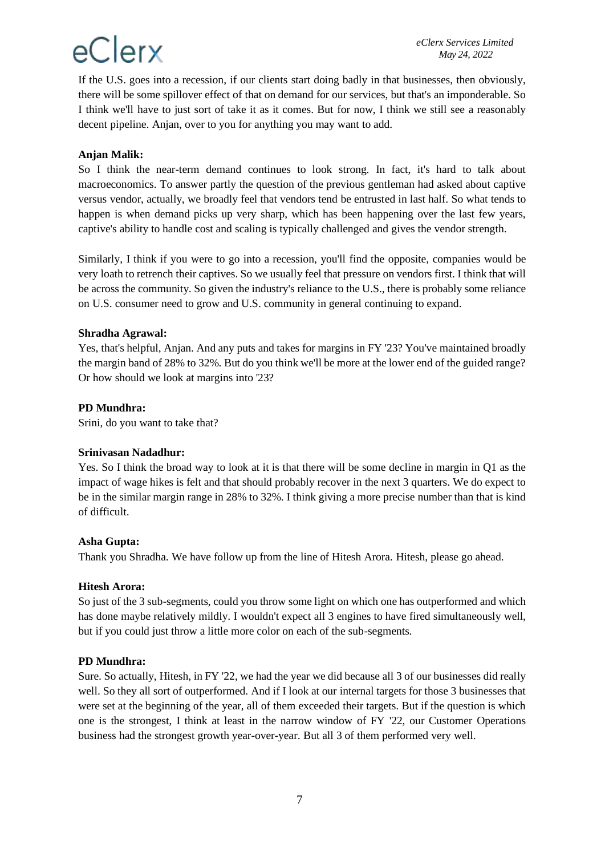If the U.S. goes into a recession, if our clients start doing badly in that businesses, then obviously, there will be some spillover effect of that on demand for our services, but that's an imponderable. So I think we'll have to just sort of take it as it comes. But for now, I think we still see a reasonably decent pipeline. Anjan, over to you for anything you may want to add.

#### **Anjan Malik:**

So I think the near-term demand continues to look strong. In fact, it's hard to talk about macroeconomics. To answer partly the question of the previous gentleman had asked about captive versus vendor, actually, we broadly feel that vendors tend be entrusted in last half. So what tends to happen is when demand picks up very sharp, which has been happening over the last few years, captive's ability to handle cost and scaling is typically challenged and gives the vendor strength.

Similarly, I think if you were to go into a recession, you'll find the opposite, companies would be very loath to retrench their captives. So we usually feel that pressure on vendors first. I think that will be across the community. So given the industry's reliance to the U.S., there is probably some reliance on U.S. consumer need to grow and U.S. community in general continuing to expand.

#### **Shradha Agrawal:**

Yes, that's helpful, Anjan. And any puts and takes for margins in FY '23? You've maintained broadly the margin band of 28% to 32%. But do you think we'll be more at the lower end of the guided range? Or how should we look at margins into '23?

#### **PD Mundhra:**

Srini, do you want to take that?

#### **Srinivasan Nadadhur:**

Yes. So I think the broad way to look at it is that there will be some decline in margin in Q1 as the impact of wage hikes is felt and that should probably recover in the next 3 quarters. We do expect to be in the similar margin range in 28% to 32%. I think giving a more precise number than that is kind of difficult.

#### **Asha Gupta:**

Thank you Shradha. We have follow up from the line of Hitesh Arora. Hitesh, please go ahead.

#### **Hitesh Arora:**

So just of the 3 sub-segments, could you throw some light on which one has outperformed and which has done maybe relatively mildly. I wouldn't expect all 3 engines to have fired simultaneously well, but if you could just throw a little more color on each of the sub-segments.

#### **PD Mundhra:**

Sure. So actually, Hitesh, in FY '22, we had the year we did because all 3 of our businesses did really well. So they all sort of outperformed. And if I look at our internal targets for those 3 businesses that were set at the beginning of the year, all of them exceeded their targets. But if the question is which one is the strongest, I think at least in the narrow window of FY '22, our Customer Operations business had the strongest growth year-over-year. But all 3 of them performed very well.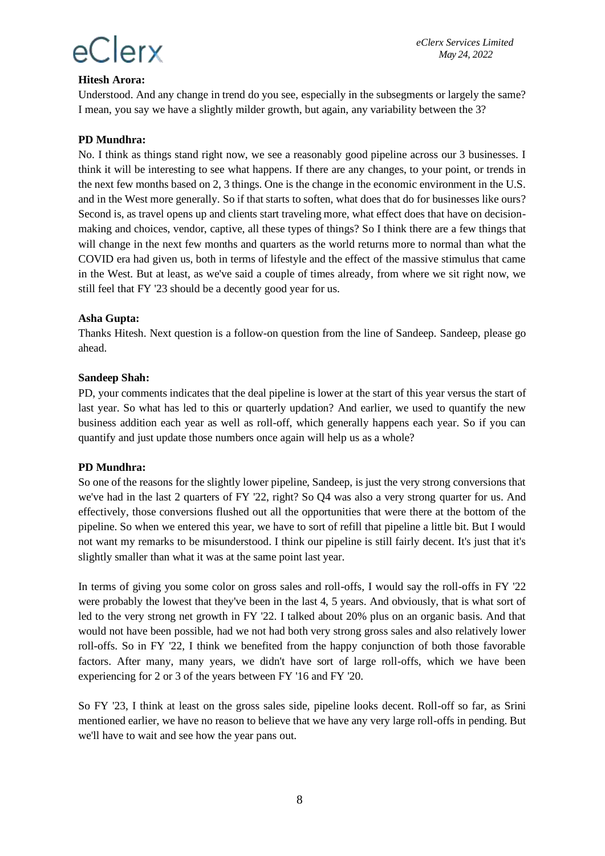#### **Hitesh Arora:**

Understood. And any change in trend do you see, especially in the subsegments or largely the same? I mean, you say we have a slightly milder growth, but again, any variability between the 3?

#### **PD Mundhra:**

No. I think as things stand right now, we see a reasonably good pipeline across our 3 businesses. I think it will be interesting to see what happens. If there are any changes, to your point, or trends in the next few months based on 2, 3 things. One is the change in the economic environment in the U.S. and in the West more generally. So if that starts to soften, what does that do for businesses like ours? Second is, as travel opens up and clients start traveling more, what effect does that have on decisionmaking and choices, vendor, captive, all these types of things? So I think there are a few things that will change in the next few months and quarters as the world returns more to normal than what the COVID era had given us, both in terms of lifestyle and the effect of the massive stimulus that came in the West. But at least, as we've said a couple of times already, from where we sit right now, we still feel that FY '23 should be a decently good year for us.

#### **Asha Gupta:**

Thanks Hitesh. Next question is a follow-on question from the line of Sandeep. Sandeep, please go ahead.

#### **Sandeep Shah:**

PD, your comments indicates that the deal pipeline is lower at the start of this year versus the start of last year. So what has led to this or quarterly updation? And earlier, we used to quantify the new business addition each year as well as roll-off, which generally happens each year. So if you can quantify and just update those numbers once again will help us as a whole?

#### **PD Mundhra:**

So one of the reasons for the slightly lower pipeline, Sandeep, is just the very strong conversions that we've had in the last 2 quarters of FY '22, right? So Q4 was also a very strong quarter for us. And effectively, those conversions flushed out all the opportunities that were there at the bottom of the pipeline. So when we entered this year, we have to sort of refill that pipeline a little bit. But I would not want my remarks to be misunderstood. I think our pipeline is still fairly decent. It's just that it's slightly smaller than what it was at the same point last year.

In terms of giving you some color on gross sales and roll-offs, I would say the roll-offs in FY '22 were probably the lowest that they've been in the last 4, 5 years. And obviously, that is what sort of led to the very strong net growth in FY '22. I talked about 20% plus on an organic basis. And that would not have been possible, had we not had both very strong gross sales and also relatively lower roll-offs. So in FY '22, I think we benefited from the happy conjunction of both those favorable factors. After many, many years, we didn't have sort of large roll-offs, which we have been experiencing for 2 or 3 of the years between FY '16 and FY '20.

So FY '23, I think at least on the gross sales side, pipeline looks decent. Roll-off so far, as Srini mentioned earlier, we have no reason to believe that we have any very large roll-offs in pending. But we'll have to wait and see how the year pans out.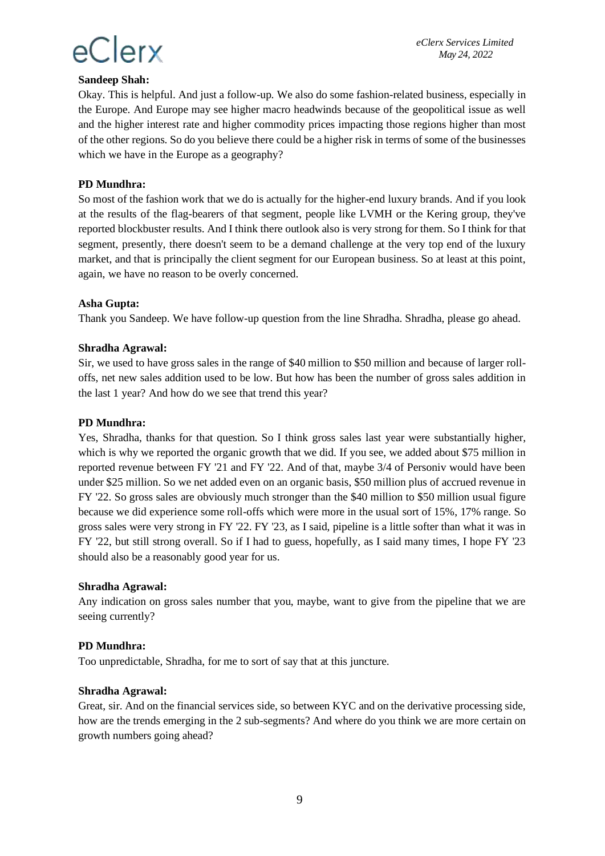#### **Sandeep Shah:**

Okay. This is helpful. And just a follow-up. We also do some fashion-related business, especially in the Europe. And Europe may see higher macro headwinds because of the geopolitical issue as well and the higher interest rate and higher commodity prices impacting those regions higher than most of the other regions. So do you believe there could be a higher risk in terms of some of the businesses which we have in the Europe as a geography?

#### **PD Mundhra:**

So most of the fashion work that we do is actually for the higher-end luxury brands. And if you look at the results of the flag-bearers of that segment, people like LVMH or the Kering group, they've reported blockbuster results. And I think there outlook also is very strong for them. So I think for that segment, presently, there doesn't seem to be a demand challenge at the very top end of the luxury market, and that is principally the client segment for our European business. So at least at this point, again, we have no reason to be overly concerned.

#### **Asha Gupta:**

Thank you Sandeep. We have follow-up question from the line Shradha. Shradha, please go ahead.

#### **Shradha Agrawal:**

Sir, we used to have gross sales in the range of \$40 million to \$50 million and because of larger rolloffs, net new sales addition used to be low. But how has been the number of gross sales addition in the last 1 year? And how do we see that trend this year?

#### **PD Mundhra:**

Yes, Shradha, thanks for that question. So I think gross sales last year were substantially higher, which is why we reported the organic growth that we did. If you see, we added about \$75 million in reported revenue between FY '21 and FY '22. And of that, maybe 3/4 of Personiv would have been under \$25 million. So we net added even on an organic basis, \$50 million plus of accrued revenue in FY '22. So gross sales are obviously much stronger than the \$40 million to \$50 million usual figure because we did experience some roll-offs which were more in the usual sort of 15%, 17% range. So gross sales were very strong in FY '22. FY '23, as I said, pipeline is a little softer than what it was in FY '22, but still strong overall. So if I had to guess, hopefully, as I said many times, I hope FY '23 should also be a reasonably good year for us.

#### **Shradha Agrawal:**

Any indication on gross sales number that you, maybe, want to give from the pipeline that we are seeing currently?

#### **PD Mundhra:**

Too unpredictable, Shradha, for me to sort of say that at this juncture.

#### **Shradha Agrawal:**

Great, sir. And on the financial services side, so between KYC and on the derivative processing side, how are the trends emerging in the 2 sub-segments? And where do you think we are more certain on growth numbers going ahead?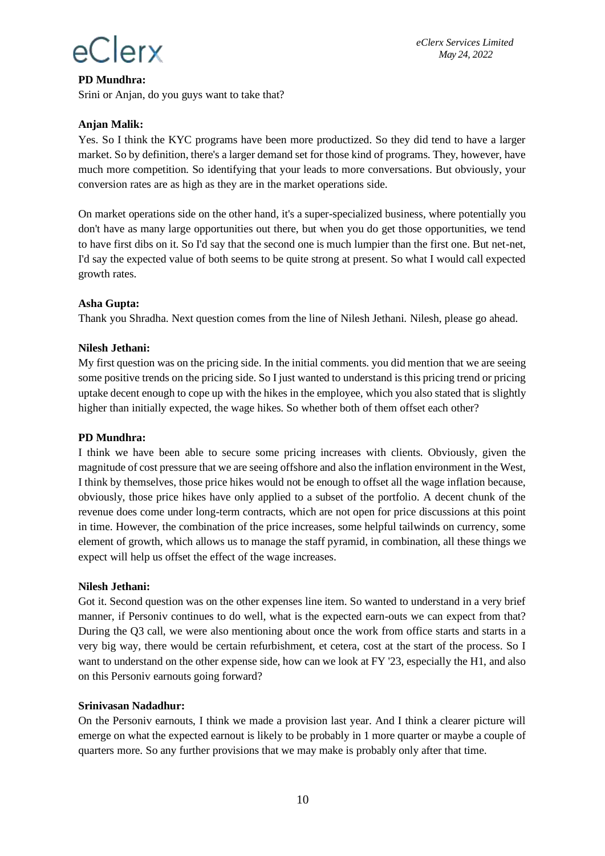#### **PD Mundhra:**

Srini or Anjan, do you guys want to take that?

#### **Anjan Malik:**

Yes. So I think the KYC programs have been more productized. So they did tend to have a larger market. So by definition, there's a larger demand set for those kind of programs. They, however, have much more competition. So identifying that your leads to more conversations. But obviously, your conversion rates are as high as they are in the market operations side.

On market operations side on the other hand, it's a super-specialized business, where potentially you don't have as many large opportunities out there, but when you do get those opportunities, we tend to have first dibs on it. So I'd say that the second one is much lumpier than the first one. But net-net, I'd say the expected value of both seems to be quite strong at present. So what I would call expected growth rates.

#### **Asha Gupta:**

Thank you Shradha. Next question comes from the line of Nilesh Jethani. Nilesh, please go ahead.

#### **Nilesh Jethani:**

My first question was on the pricing side. In the initial comments. you did mention that we are seeing some positive trends on the pricing side. So I just wanted to understand is this pricing trend or pricing uptake decent enough to cope up with the hikes in the employee, which you also stated that is slightly higher than initially expected, the wage hikes. So whether both of them offset each other?

#### **PD Mundhra:**

I think we have been able to secure some pricing increases with clients. Obviously, given the magnitude of cost pressure that we are seeing offshore and also the inflation environment in the West, I think by themselves, those price hikes would not be enough to offset all the wage inflation because, obviously, those price hikes have only applied to a subset of the portfolio. A decent chunk of the revenue does come under long-term contracts, which are not open for price discussions at this point in time. However, the combination of the price increases, some helpful tailwinds on currency, some element of growth, which allows us to manage the staff pyramid, in combination, all these things we expect will help us offset the effect of the wage increases.

#### **Nilesh Jethani:**

Got it. Second question was on the other expenses line item. So wanted to understand in a very brief manner, if Personiv continues to do well, what is the expected earn-outs we can expect from that? During the Q3 call, we were also mentioning about once the work from office starts and starts in a very big way, there would be certain refurbishment, et cetera, cost at the start of the process. So I want to understand on the other expense side, how can we look at FY '23, especially the H1, and also on this Personiv earnouts going forward?

#### **Srinivasan Nadadhur:**

On the Personiv earnouts, I think we made a provision last year. And I think a clearer picture will emerge on what the expected earnout is likely to be probably in 1 more quarter or maybe a couple of quarters more. So any further provisions that we may make is probably only after that time.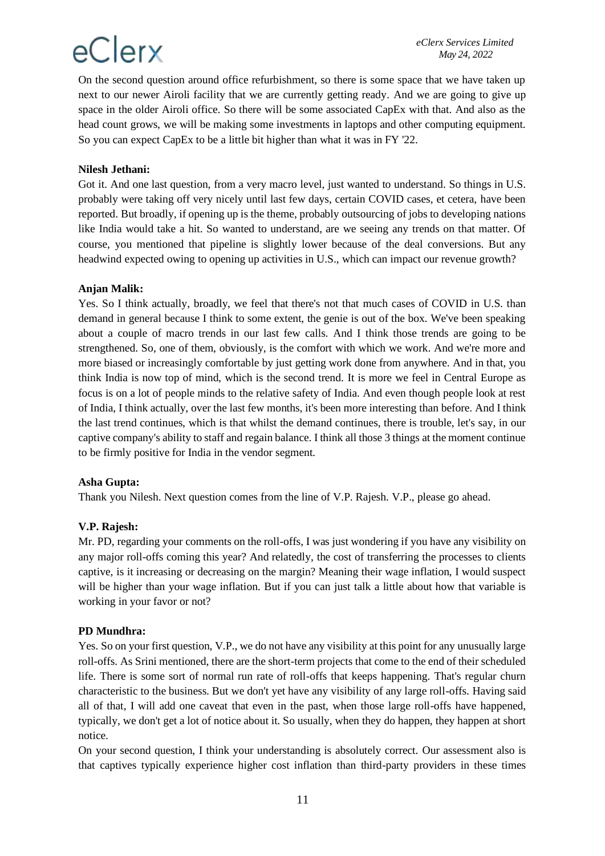On the second question around office refurbishment, so there is some space that we have taken up next to our newer Airoli facility that we are currently getting ready. And we are going to give up space in the older Airoli office. So there will be some associated CapEx with that. And also as the head count grows, we will be making some investments in laptops and other computing equipment. So you can expect CapEx to be a little bit higher than what it was in FY '22.

#### **Nilesh Jethani:**

Got it. And one last question, from a very macro level, just wanted to understand. So things in U.S. probably were taking off very nicely until last few days, certain COVID cases, et cetera, have been reported. But broadly, if opening up is the theme, probably outsourcing of jobs to developing nations like India would take a hit. So wanted to understand, are we seeing any trends on that matter. Of course, you mentioned that pipeline is slightly lower because of the deal conversions. But any headwind expected owing to opening up activities in U.S., which can impact our revenue growth?

#### **Anjan Malik:**

Yes. So I think actually, broadly, we feel that there's not that much cases of COVID in U.S. than demand in general because I think to some extent, the genie is out of the box. We've been speaking about a couple of macro trends in our last few calls. And I think those trends are going to be strengthened. So, one of them, obviously, is the comfort with which we work. And we're more and more biased or increasingly comfortable by just getting work done from anywhere. And in that, you think India is now top of mind, which is the second trend. It is more we feel in Central Europe as focus is on a lot of people minds to the relative safety of India. And even though people look at rest of India, I think actually, over the last few months, it's been more interesting than before. And I think the last trend continues, which is that whilst the demand continues, there is trouble, let's say, in our captive company's ability to staff and regain balance. I think all those 3 things at the moment continue to be firmly positive for India in the vendor segment.

#### **Asha Gupta:**

Thank you Nilesh. Next question comes from the line of V.P. Rajesh. V.P., please go ahead.

#### **V.P. Rajesh:**

Mr. PD, regarding your comments on the roll-offs, I was just wondering if you have any visibility on any major roll-offs coming this year? And relatedly, the cost of transferring the processes to clients captive, is it increasing or decreasing on the margin? Meaning their wage inflation, I would suspect will be higher than your wage inflation. But if you can just talk a little about how that variable is working in your favor or not?

#### **PD Mundhra:**

Yes. So on your first question, V.P., we do not have any visibility at this point for any unusually large roll-offs. As Srini mentioned, there are the short-term projects that come to the end of their scheduled life. There is some sort of normal run rate of roll-offs that keeps happening. That's regular churn characteristic to the business. But we don't yet have any visibility of any large roll-offs. Having said all of that, I will add one caveat that even in the past, when those large roll-offs have happened, typically, we don't get a lot of notice about it. So usually, when they do happen, they happen at short notice.

On your second question, I think your understanding is absolutely correct. Our assessment also is that captives typically experience higher cost inflation than third-party providers in these times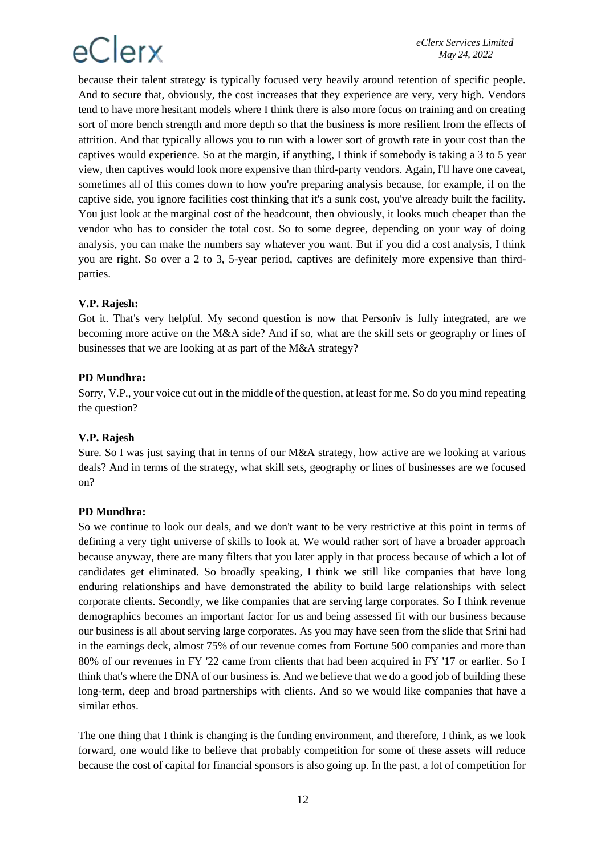because their talent strategy is typically focused very heavily around retention of specific people. And to secure that, obviously, the cost increases that they experience are very, very high. Vendors tend to have more hesitant models where I think there is also more focus on training and on creating sort of more bench strength and more depth so that the business is more resilient from the effects of attrition. And that typically allows you to run with a lower sort of growth rate in your cost than the captives would experience. So at the margin, if anything, I think if somebody is taking a 3 to 5 year view, then captives would look more expensive than third-party vendors. Again, I'll have one caveat, sometimes all of this comes down to how you're preparing analysis because, for example, if on the captive side, you ignore facilities cost thinking that it's a sunk cost, you've already built the facility. You just look at the marginal cost of the headcount, then obviously, it looks much cheaper than the vendor who has to consider the total cost. So to some degree, depending on your way of doing analysis, you can make the numbers say whatever you want. But if you did a cost analysis, I think you are right. So over a 2 to 3, 5-year period, captives are definitely more expensive than thirdparties.

#### **V.P. Rajesh:**

Got it. That's very helpful. My second question is now that Personiv is fully integrated, are we becoming more active on the M&A side? And if so, what are the skill sets or geography or lines of businesses that we are looking at as part of the M&A strategy?

#### **PD Mundhra:**

Sorry, V.P., your voice cut out in the middle of the question, at least for me. So do you mind repeating the question?

#### **V.P. Rajesh**

Sure. So I was just saying that in terms of our M&A strategy, how active are we looking at various deals? And in terms of the strategy, what skill sets, geography or lines of businesses are we focused on?

#### **PD Mundhra:**

So we continue to look our deals, and we don't want to be very restrictive at this point in terms of defining a very tight universe of skills to look at. We would rather sort of have a broader approach because anyway, there are many filters that you later apply in that process because of which a lot of candidates get eliminated. So broadly speaking, I think we still like companies that have long enduring relationships and have demonstrated the ability to build large relationships with select corporate clients. Secondly, we like companies that are serving large corporates. So I think revenue demographics becomes an important factor for us and being assessed fit with our business because our business is all about serving large corporates. As you may have seen from the slide that Srini had in the earnings deck, almost 75% of our revenue comes from Fortune 500 companies and more than 80% of our revenues in FY '22 came from clients that had been acquired in FY '17 or earlier. So I think that's where the DNA of our business is. And we believe that we do a good job of building these long-term, deep and broad partnerships with clients. And so we would like companies that have a similar ethos.

The one thing that I think is changing is the funding environment, and therefore, I think, as we look forward, one would like to believe that probably competition for some of these assets will reduce because the cost of capital for financial sponsors is also going up. In the past, a lot of competition for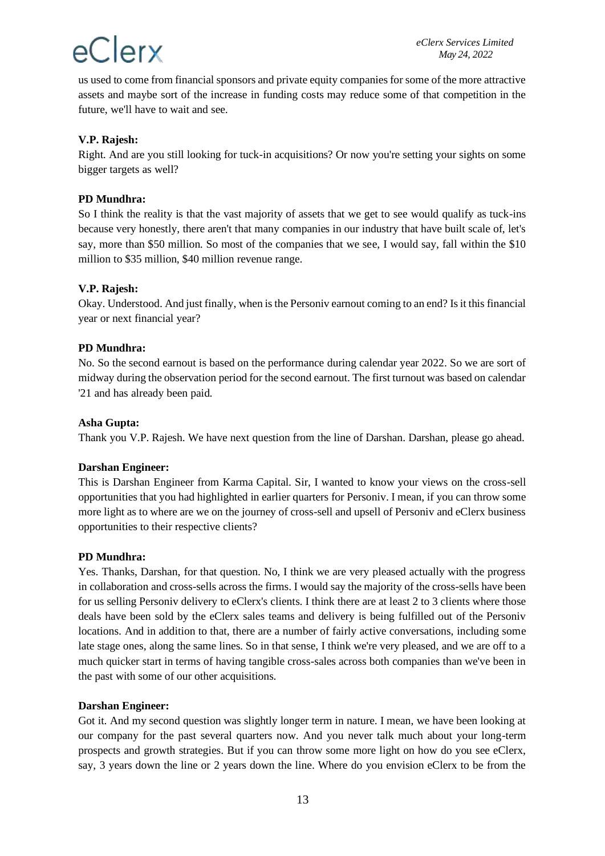us used to come from financial sponsors and private equity companies for some of the more attractive assets and maybe sort of the increase in funding costs may reduce some of that competition in the future, we'll have to wait and see.

#### **V.P. Rajesh:**

Right. And are you still looking for tuck-in acquisitions? Or now you're setting your sights on some bigger targets as well?

#### **PD Mundhra:**

So I think the reality is that the vast majority of assets that we get to see would qualify as tuck-ins because very honestly, there aren't that many companies in our industry that have built scale of, let's say, more than \$50 million. So most of the companies that we see, I would say, fall within the \$10 million to \$35 million, \$40 million revenue range.

#### **V.P. Rajesh:**

Okay. Understood. And just finally, when is the Personiv earnout coming to an end? Is it this financial year or next financial year?

#### **PD Mundhra:**

No. So the second earnout is based on the performance during calendar year 2022. So we are sort of midway during the observation period for the second earnout. The first turnout was based on calendar '21 and has already been paid.

#### **Asha Gupta:**

Thank you V.P. Rajesh. We have next question from the line of Darshan. Darshan, please go ahead.

#### **Darshan Engineer:**

This is Darshan Engineer from Karma Capital. Sir, I wanted to know your views on the cross-sell opportunities that you had highlighted in earlier quarters for Personiv. I mean, if you can throw some more light as to where are we on the journey of cross-sell and upsell of Personiv and eClerx business opportunities to their respective clients?

#### **PD Mundhra:**

Yes. Thanks, Darshan, for that question. No, I think we are very pleased actually with the progress in collaboration and cross-sells across the firms. I would say the majority of the cross-sells have been for us selling Personiv delivery to eClerx's clients. I think there are at least 2 to 3 clients where those deals have been sold by the eClerx sales teams and delivery is being fulfilled out of the Personiv locations. And in addition to that, there are a number of fairly active conversations, including some late stage ones, along the same lines. So in that sense, I think we're very pleased, and we are off to a much quicker start in terms of having tangible cross-sales across both companies than we've been in the past with some of our other acquisitions.

#### **Darshan Engineer:**

Got it. And my second question was slightly longer term in nature. I mean, we have been looking at our company for the past several quarters now. And you never talk much about your long-term prospects and growth strategies. But if you can throw some more light on how do you see eClerx, say, 3 years down the line or 2 years down the line. Where do you envision eClerx to be from the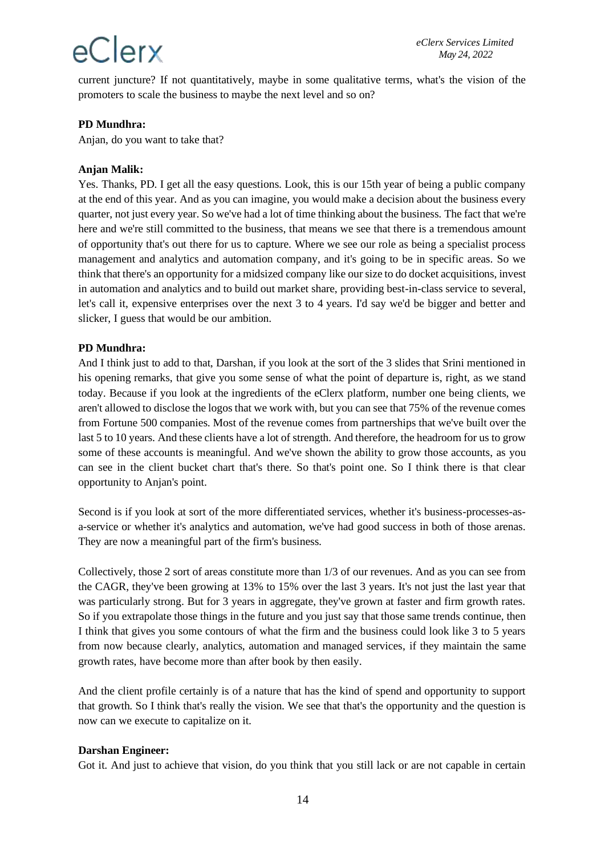current juncture? If not quantitatively, maybe in some qualitative terms, what's the vision of the promoters to scale the business to maybe the next level and so on?

#### **PD Mundhra:**

Anjan, do you want to take that?

#### **Anjan Malik:**

Yes. Thanks, PD. I get all the easy questions. Look, this is our 15th year of being a public company at the end of this year. And as you can imagine, you would make a decision about the business every quarter, not just every year. So we've had a lot of time thinking about the business. The fact that we're here and we're still committed to the business, that means we see that there is a tremendous amount of opportunity that's out there for us to capture. Where we see our role as being a specialist process management and analytics and automation company, and it's going to be in specific areas. So we think that there's an opportunity for a midsized company like our size to do docket acquisitions, invest in automation and analytics and to build out market share, providing best-in-class service to several, let's call it, expensive enterprises over the next 3 to 4 years. I'd say we'd be bigger and better and slicker, I guess that would be our ambition.

#### **PD Mundhra:**

And I think just to add to that, Darshan, if you look at the sort of the 3 slides that Srini mentioned in his opening remarks, that give you some sense of what the point of departure is, right, as we stand today. Because if you look at the ingredients of the eClerx platform, number one being clients, we aren't allowed to disclose the logos that we work with, but you can see that 75% of the revenue comes from Fortune 500 companies. Most of the revenue comes from partnerships that we've built over the last 5 to 10 years. And these clients have a lot of strength. And therefore, the headroom for us to grow some of these accounts is meaningful. And we've shown the ability to grow those accounts, as you can see in the client bucket chart that's there. So that's point one. So I think there is that clear opportunity to Anjan's point.

Second is if you look at sort of the more differentiated services, whether it's business-processes-asa-service or whether it's analytics and automation, we've had good success in both of those arenas. They are now a meaningful part of the firm's business.

Collectively, those 2 sort of areas constitute more than 1/3 of our revenues. And as you can see from the CAGR, they've been growing at 13% to 15% over the last 3 years. It's not just the last year that was particularly strong. But for 3 years in aggregate, they've grown at faster and firm growth rates. So if you extrapolate those things in the future and you just say that those same trends continue, then I think that gives you some contours of what the firm and the business could look like 3 to 5 years from now because clearly, analytics, automation and managed services, if they maintain the same growth rates, have become more than after book by then easily.

And the client profile certainly is of a nature that has the kind of spend and opportunity to support that growth. So I think that's really the vision. We see that that's the opportunity and the question is now can we execute to capitalize on it.

#### **Darshan Engineer:**

Got it. And just to achieve that vision, do you think that you still lack or are not capable in certain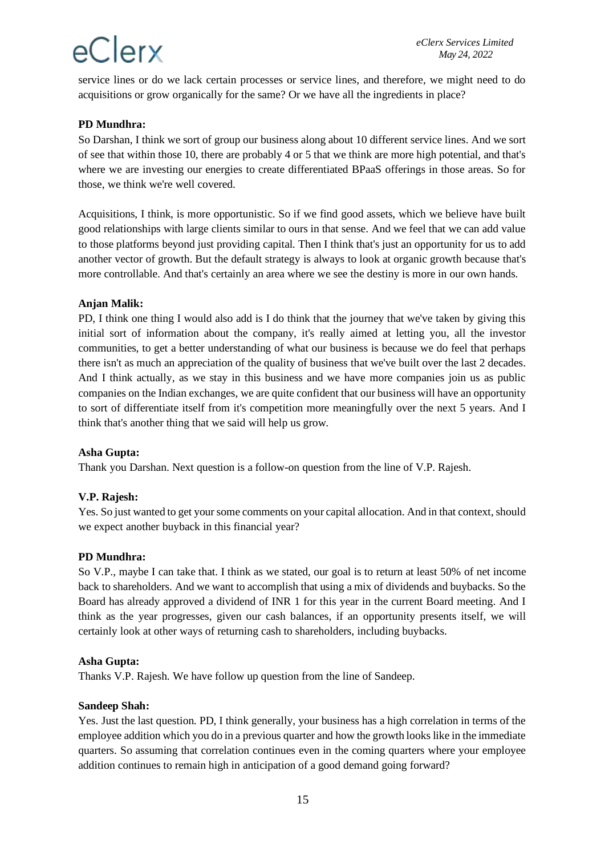service lines or do we lack certain processes or service lines, and therefore, we might need to do acquisitions or grow organically for the same? Or we have all the ingredients in place?

#### **PD Mundhra:**

So Darshan, I think we sort of group our business along about 10 different service lines. And we sort of see that within those 10, there are probably 4 or 5 that we think are more high potential, and that's where we are investing our energies to create differentiated BPaaS offerings in those areas. So for those, we think we're well covered.

Acquisitions, I think, is more opportunistic. So if we find good assets, which we believe have built good relationships with large clients similar to ours in that sense. And we feel that we can add value to those platforms beyond just providing capital. Then I think that's just an opportunity for us to add another vector of growth. But the default strategy is always to look at organic growth because that's more controllable. And that's certainly an area where we see the destiny is more in our own hands.

#### **Anjan Malik:**

PD, I think one thing I would also add is I do think that the journey that we've taken by giving this initial sort of information about the company, it's really aimed at letting you, all the investor communities, to get a better understanding of what our business is because we do feel that perhaps there isn't as much an appreciation of the quality of business that we've built over the last 2 decades. And I think actually, as we stay in this business and we have more companies join us as public companies on the Indian exchanges, we are quite confident that our business will have an opportunity to sort of differentiate itself from it's competition more meaningfully over the next 5 years. And I think that's another thing that we said will help us grow.

#### **Asha Gupta:**

Thank you Darshan. Next question is a follow-on question from the line of V.P. Rajesh.

#### **V.P. Rajesh:**

Yes. So just wanted to get your some comments on your capital allocation. And in that context, should we expect another buyback in this financial year?

#### **PD Mundhra:**

So V.P., maybe I can take that. I think as we stated, our goal is to return at least 50% of net income back to shareholders. And we want to accomplish that using a mix of dividends and buybacks. So the Board has already approved a dividend of INR 1 for this year in the current Board meeting. And I think as the year progresses, given our cash balances, if an opportunity presents itself, we will certainly look at other ways of returning cash to shareholders, including buybacks.

#### **Asha Gupta:**

Thanks V.P. Rajesh. We have follow up question from the line of Sandeep.

#### **Sandeep Shah:**

Yes. Just the last question. PD, I think generally, your business has a high correlation in terms of the employee addition which you do in a previous quarter and how the growth looks like in the immediate quarters. So assuming that correlation continues even in the coming quarters where your employee addition continues to remain high in anticipation of a good demand going forward?